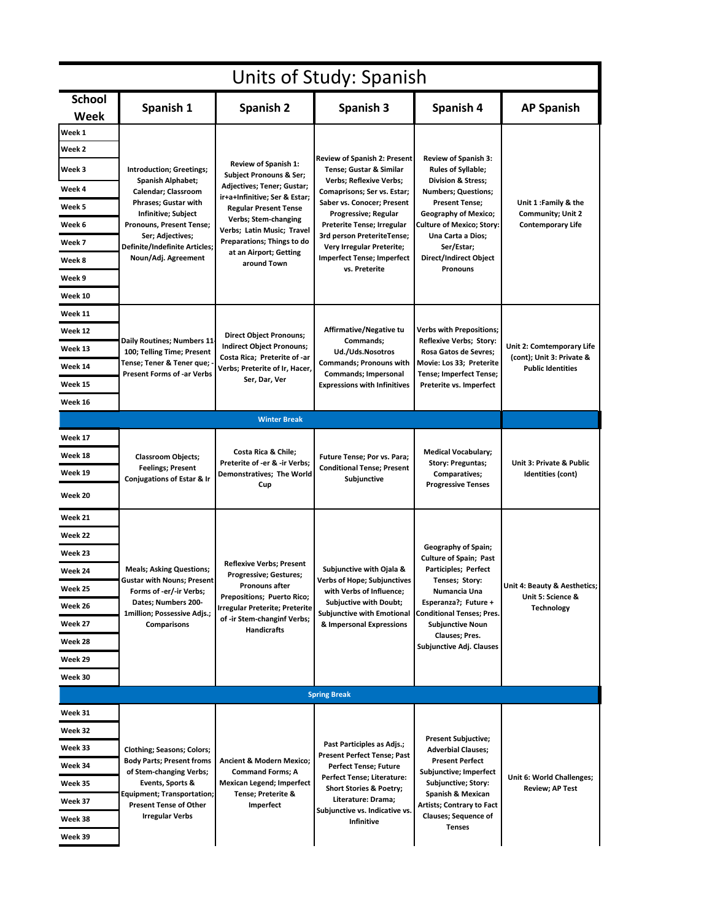| Units of Study: Spanish |                                                                                                                                                                                                               |                                                                                                                                                                                                                                                                                               |                                                                                                                                                                                                                                                                                                                                      |                                                                                                                                                                                                                                                                                 |                                                                                    |  |  |  |
|-------------------------|---------------------------------------------------------------------------------------------------------------------------------------------------------------------------------------------------------------|-----------------------------------------------------------------------------------------------------------------------------------------------------------------------------------------------------------------------------------------------------------------------------------------------|--------------------------------------------------------------------------------------------------------------------------------------------------------------------------------------------------------------------------------------------------------------------------------------------------------------------------------------|---------------------------------------------------------------------------------------------------------------------------------------------------------------------------------------------------------------------------------------------------------------------------------|------------------------------------------------------------------------------------|--|--|--|
| <b>School</b><br>Week   | Spanish 1                                                                                                                                                                                                     | Spanish 2                                                                                                                                                                                                                                                                                     | Spanish 3                                                                                                                                                                                                                                                                                                                            | Spanish 4                                                                                                                                                                                                                                                                       | <b>AP Spanish</b>                                                                  |  |  |  |
| Week 1                  |                                                                                                                                                                                                               |                                                                                                                                                                                                                                                                                               |                                                                                                                                                                                                                                                                                                                                      |                                                                                                                                                                                                                                                                                 |                                                                                    |  |  |  |
| Week 2                  | Introduction; Greetings;<br><b>Spanish Alphabet;</b><br>Calendar; Classroom<br>Phrases; Gustar with<br>Infinitive; Subject<br>Pronouns, Present Tense;                                                        | <b>Review of Spanish 1:</b><br><b>Subject Pronouns &amp; Ser;</b><br>Adjectives; Tener; Gustar;<br>ir+a+Infinitive; Ser & Estar;<br><b>Regular Present Tense</b><br>Verbs; Stem-changing<br>Verbs; Latin Music; Travel<br>Preparations; Things to do<br>at an Airport; Getting<br>around Town | <b>Review of Spanish 2: Present</b><br>Tense; Gustar & Similar<br><b>Verbs; Reflexive Verbs;</b><br>Comaprisons; Ser vs. Estar;<br>Saber vs. Conocer; Present<br>Progressive; Regular<br>Preterite Tense; Irregular<br>3rd person PreteriteTense;<br>Very Irregular Preterite;<br><b>Imperfect Tense; Imperfect</b><br>vs. Preterite | Review of Spanish 3:<br><b>Rules of Syllable;</b><br><b>Division &amp; Stress;</b><br><b>Numbers</b> ; Questions;<br><b>Present Tense;</b><br><b>Geography of Mexico;</b><br>Culture of Mexico; Story:<br>Una Carta a Dios;<br>Ser/Estar;<br>Direct/Indirect Object<br>Pronouns | Unit 1 :Family & the<br><b>Community; Unit 2</b><br><b>Contemporary Life</b>       |  |  |  |
| Week 3                  |                                                                                                                                                                                                               |                                                                                                                                                                                                                                                                                               |                                                                                                                                                                                                                                                                                                                                      |                                                                                                                                                                                                                                                                                 |                                                                                    |  |  |  |
| Week 4                  |                                                                                                                                                                                                               |                                                                                                                                                                                                                                                                                               |                                                                                                                                                                                                                                                                                                                                      |                                                                                                                                                                                                                                                                                 |                                                                                    |  |  |  |
| Week 5                  |                                                                                                                                                                                                               |                                                                                                                                                                                                                                                                                               |                                                                                                                                                                                                                                                                                                                                      |                                                                                                                                                                                                                                                                                 |                                                                                    |  |  |  |
| Week 6                  |                                                                                                                                                                                                               |                                                                                                                                                                                                                                                                                               |                                                                                                                                                                                                                                                                                                                                      |                                                                                                                                                                                                                                                                                 |                                                                                    |  |  |  |
| Week 7                  | Ser; Adjectives;<br><b>Definite/Indefinite Articles;</b>                                                                                                                                                      |                                                                                                                                                                                                                                                                                               |                                                                                                                                                                                                                                                                                                                                      |                                                                                                                                                                                                                                                                                 |                                                                                    |  |  |  |
| Week 8                  | Noun/Adj. Agreement                                                                                                                                                                                           |                                                                                                                                                                                                                                                                                               |                                                                                                                                                                                                                                                                                                                                      |                                                                                                                                                                                                                                                                                 |                                                                                    |  |  |  |
| Week 9                  |                                                                                                                                                                                                               |                                                                                                                                                                                                                                                                                               |                                                                                                                                                                                                                                                                                                                                      |                                                                                                                                                                                                                                                                                 |                                                                                    |  |  |  |
| Week 10                 |                                                                                                                                                                                                               |                                                                                                                                                                                                                                                                                               |                                                                                                                                                                                                                                                                                                                                      |                                                                                                                                                                                                                                                                                 |                                                                                    |  |  |  |
| Week 11                 |                                                                                                                                                                                                               |                                                                                                                                                                                                                                                                                               |                                                                                                                                                                                                                                                                                                                                      |                                                                                                                                                                                                                                                                                 |                                                                                    |  |  |  |
| Week 12                 |                                                                                                                                                                                                               | <b>Direct Object Pronouns;</b><br><b>Indirect Object Pronouns;</b><br>Costa Rica; Preterite of -ar<br>Verbs; Preterite of Ir, Hacer,<br>Ser, Dar, Ver                                                                                                                                         | Affirmative/Negative tu<br>Commands;<br>Ud./Uds.Nosotros<br><b>Commands; Pronouns with</b><br>Commands; Impersonal<br><b>Expressions with Infinitives</b>                                                                                                                                                                            | Verbs with Prepositions;<br>Reflexive Verbs; Story:<br>Rosa Gatos de Sevres;<br>Movie: Los 33; Preterite<br>Tense; Imperfect Tense;<br>Preterite vs. Imperfect                                                                                                                  | Unit 2: Comtemporary Life<br>(cont); Unit 3: Private &<br><b>Public Identities</b> |  |  |  |
| Week 13                 | Daily Routines; Numbers 11-<br>100; Telling Time; Present                                                                                                                                                     |                                                                                                                                                                                                                                                                                               |                                                                                                                                                                                                                                                                                                                                      |                                                                                                                                                                                                                                                                                 |                                                                                    |  |  |  |
| Week 14                 | Tense; Tener & Tener que; ·<br><b>Present Forms of -ar Verbs</b>                                                                                                                                              |                                                                                                                                                                                                                                                                                               |                                                                                                                                                                                                                                                                                                                                      |                                                                                                                                                                                                                                                                                 |                                                                                    |  |  |  |
| Week 15                 |                                                                                                                                                                                                               |                                                                                                                                                                                                                                                                                               |                                                                                                                                                                                                                                                                                                                                      |                                                                                                                                                                                                                                                                                 |                                                                                    |  |  |  |
| Week 16                 |                                                                                                                                                                                                               |                                                                                                                                                                                                                                                                                               |                                                                                                                                                                                                                                                                                                                                      |                                                                                                                                                                                                                                                                                 |                                                                                    |  |  |  |
|                         |                                                                                                                                                                                                               | <b>Winter Break</b>                                                                                                                                                                                                                                                                           |                                                                                                                                                                                                                                                                                                                                      |                                                                                                                                                                                                                                                                                 |                                                                                    |  |  |  |
| Week 17                 |                                                                                                                                                                                                               |                                                                                                                                                                                                                                                                                               |                                                                                                                                                                                                                                                                                                                                      |                                                                                                                                                                                                                                                                                 |                                                                                    |  |  |  |
| Week 18                 | Classroom Objects;                                                                                                                                                                                            | Costa Rica & Chile;<br>Preterite of -er & -ir Verbs;<br>Demonstratives; The World<br>Cup                                                                                                                                                                                                      | Future Tense; Por vs. Para;<br><b>Conditional Tense; Present</b><br>Subjunctive                                                                                                                                                                                                                                                      | <b>Medical Vocabulary;</b><br><b>Story: Preguntas;</b><br>Comparatives;<br><b>Progressive Tenses</b>                                                                                                                                                                            | Unit 3: Private & Public<br>Identities (cont)                                      |  |  |  |
| Week 19                 | <b>Feelings; Present</b><br>Conjugations of Estar & Ir                                                                                                                                                        |                                                                                                                                                                                                                                                                                               |                                                                                                                                                                                                                                                                                                                                      |                                                                                                                                                                                                                                                                                 |                                                                                    |  |  |  |
| Week 20                 |                                                                                                                                                                                                               |                                                                                                                                                                                                                                                                                               |                                                                                                                                                                                                                                                                                                                                      |                                                                                                                                                                                                                                                                                 |                                                                                    |  |  |  |
| Week 21                 | <b>Meals; Asking Questions;</b><br><b>Gustar with Nouns; Present</b><br>Forms of -er/-ir Verbs;<br>Dates; Numbers 200-<br>1million; Possessive Adjs.;<br>Comparisons                                          | <b>Reflexive Verbs; Present</b><br><b>Progressive; Gestures;</b><br>Pronouns after<br>Prepositions; Puerto Rico;<br>Irregular Preterite; Preterite<br>of -ir Stem-changinf Verbs;<br><b>Handicrafts</b>                                                                                       | Subjunctive with Ojala &<br>Verbs of Hope; Subjunctives<br>with Verbs of Influence;<br><b>Subjuctive with Doubt;</b><br>Subjunctive with Emotional<br>& Impersonal Expressions                                                                                                                                                       | Geography of Spain;<br><b>Culture of Spain; Past</b><br>Participles; Perfect<br>Tenses; Story:<br>Numancia Una<br>Esperanza?; Future +<br><b>Conditional Tenses; Pres.</b><br><b>Subjunctive Noun</b><br><b>Clauses</b> ; Pres.<br>Subjunctive Adj. Clauses                     | Unit 4: Beauty & Aesthetics;<br>Unit 5: Science &<br><b>Technology</b>             |  |  |  |
| Week 22                 |                                                                                                                                                                                                               |                                                                                                                                                                                                                                                                                               |                                                                                                                                                                                                                                                                                                                                      |                                                                                                                                                                                                                                                                                 |                                                                                    |  |  |  |
| Week 23                 |                                                                                                                                                                                                               |                                                                                                                                                                                                                                                                                               |                                                                                                                                                                                                                                                                                                                                      |                                                                                                                                                                                                                                                                                 |                                                                                    |  |  |  |
| Week 24                 |                                                                                                                                                                                                               |                                                                                                                                                                                                                                                                                               |                                                                                                                                                                                                                                                                                                                                      |                                                                                                                                                                                                                                                                                 |                                                                                    |  |  |  |
| Week 25                 |                                                                                                                                                                                                               |                                                                                                                                                                                                                                                                                               |                                                                                                                                                                                                                                                                                                                                      |                                                                                                                                                                                                                                                                                 |                                                                                    |  |  |  |
| Week 26                 |                                                                                                                                                                                                               |                                                                                                                                                                                                                                                                                               |                                                                                                                                                                                                                                                                                                                                      |                                                                                                                                                                                                                                                                                 |                                                                                    |  |  |  |
| Week 27                 |                                                                                                                                                                                                               |                                                                                                                                                                                                                                                                                               |                                                                                                                                                                                                                                                                                                                                      |                                                                                                                                                                                                                                                                                 |                                                                                    |  |  |  |
| Week 28                 |                                                                                                                                                                                                               |                                                                                                                                                                                                                                                                                               |                                                                                                                                                                                                                                                                                                                                      |                                                                                                                                                                                                                                                                                 |                                                                                    |  |  |  |
| Week 29                 |                                                                                                                                                                                                               |                                                                                                                                                                                                                                                                                               |                                                                                                                                                                                                                                                                                                                                      |                                                                                                                                                                                                                                                                                 |                                                                                    |  |  |  |
| Week 30                 |                                                                                                                                                                                                               |                                                                                                                                                                                                                                                                                               |                                                                                                                                                                                                                                                                                                                                      |                                                                                                                                                                                                                                                                                 |                                                                                    |  |  |  |
| <b>Spring Break</b>     |                                                                                                                                                                                                               |                                                                                                                                                                                                                                                                                               |                                                                                                                                                                                                                                                                                                                                      |                                                                                                                                                                                                                                                                                 |                                                                                    |  |  |  |
| Week 31                 |                                                                                                                                                                                                               | <b>Ancient &amp; Modern Mexico;</b><br><b>Command Forms; A</b><br><b>Mexican Legend; Imperfect</b><br>Tense; Preterite &<br>Imperfect                                                                                                                                                         | Past Participles as Adjs.;<br>Present Perfect Tense; Past<br><b>Perfect Tense; Future</b><br>Perfect Tense; Literature:<br><b>Short Stories &amp; Poetry;</b><br>Literature: Drama;<br>Subjunctive vs. Indicative vs.<br>Infinitive                                                                                                  | <b>Present Subjuctive;</b><br><b>Adverbial Clauses;</b><br><b>Present Perfect</b><br>Subjunctive; Imperfect<br>Subjunctive; Story:<br>Spanish & Mexican<br>Artists; Contrary to Fact<br><b>Clauses; Sequence of</b><br>Tenses                                                   | Unit 6: World Challenges;<br><b>Review; AP Test</b>                                |  |  |  |
| Week 32                 |                                                                                                                                                                                                               |                                                                                                                                                                                                                                                                                               |                                                                                                                                                                                                                                                                                                                                      |                                                                                                                                                                                                                                                                                 |                                                                                    |  |  |  |
| Week 33                 | <b>Clothing; Seasons; Colors;</b><br><b>Body Parts; Present froms</b><br>of Stem-changing Verbs;<br>Events, Sports &<br>Equipment; Transportation;<br><b>Present Tense of Other</b><br><b>Irregular Verbs</b> |                                                                                                                                                                                                                                                                                               |                                                                                                                                                                                                                                                                                                                                      |                                                                                                                                                                                                                                                                                 |                                                                                    |  |  |  |
| Week 34                 |                                                                                                                                                                                                               |                                                                                                                                                                                                                                                                                               |                                                                                                                                                                                                                                                                                                                                      |                                                                                                                                                                                                                                                                                 |                                                                                    |  |  |  |
| Week 35                 |                                                                                                                                                                                                               |                                                                                                                                                                                                                                                                                               |                                                                                                                                                                                                                                                                                                                                      |                                                                                                                                                                                                                                                                                 |                                                                                    |  |  |  |
| Week 37                 |                                                                                                                                                                                                               |                                                                                                                                                                                                                                                                                               |                                                                                                                                                                                                                                                                                                                                      |                                                                                                                                                                                                                                                                                 |                                                                                    |  |  |  |
| Week 38                 |                                                                                                                                                                                                               |                                                                                                                                                                                                                                                                                               |                                                                                                                                                                                                                                                                                                                                      |                                                                                                                                                                                                                                                                                 |                                                                                    |  |  |  |
| Week 39                 |                                                                                                                                                                                                               |                                                                                                                                                                                                                                                                                               |                                                                                                                                                                                                                                                                                                                                      |                                                                                                                                                                                                                                                                                 |                                                                                    |  |  |  |